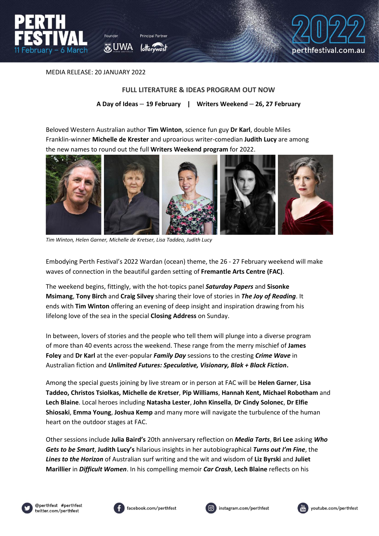



MEDIA RELEASE: 20 JANUARY 2022

## **FULL LITERATURE & IDEAS PROGRAM OUT NOW**

**A Day of Ideas** – **19 February | Writers Weekend** – **26, 27 February**

Beloved Western Australian author **Tim Winton**, science fun guy **Dr Karl**, double Miles Franklin-winner **Michelle de Krester** and uproarious writer-comedian **Judith Lucy** are among the new names to round out the full **Writers Weekend program** for 2022.



*Tim Winton, Helen Garner, Michelle de Kretser, Lisa Taddeo, Judith Lucy*

Embodying Perth Festival's 2022 Wardan (ocean) theme, the 26 - 27 February weekend will make waves of connection in the beautiful garden setting of **Fremantle Arts Centre (FAC)**.

The weekend begins, fittingly, with the hot-topics panel *Saturday Papers* and **Sisonke Msimang**, **Tony Birch** and **Craig Silvey** sharing their love of stories in *The Joy of Reading*. It ends with **Tim Winton** offering an evening of deep insight and inspiration drawing from his lifelong love of the sea in the special **Closing Address** on Sunday.

In between, lovers of stories and the people who tell them will plunge into a diverse program of more than 40 events across the weekend. These range from the merry mischief of **James Foley** and **Dr Karl** at the ever-popular *Family Day* sessions to the cresting *Crime Wave* in Australian fiction and *Unlimited Futures: Speculative, Visionary, Blak + Black Fiction***.**

Among the special guests joining by live stream or in person at FAC will be **Helen Garner**, **Lisa Taddeo, Christos Tsiolkas, Michelle de Kretser**, **Pip Williams**, **Hannah Kent, Michael Robotham** and **Lech Blaine**. Local heroes including **Natasha Lester**, **John Kinsella**, **Dr Cindy Solonec**, **Dr Elfie Shiosaki**, **Emma Young**, **Joshua Kemp** and many more will navigate the turbulence of the human heart on the outdoor stages at FAC.

Other sessions include **Julia Baird's** 20th anniversary reflection on *Media Tarts*, **Bri Lee** asking *Who Gets to be Smart*, **Judith Lucy's** hilarious insights in her autobiographical *Turns out I'm Fine*, the *Lines to the Horizon* of Australian surf writing and the wit and wisdom of **Liz Byrski** and **Juliet Marillier** in *Difficult Women*. In his compelling memoir *Car Crash*, **Lech Blaine** reflects on his







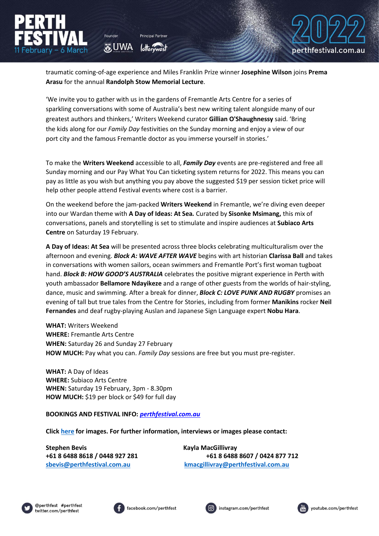traumatic coming-of-age experience and Miles Franklin Prize winner **Josephine Wilson** joins **Prema Arasu** for the annual **Randolph Stow Memorial Lecture**.

'We invite you to gather with us in the gardens of Fremantle Arts Centre for a series of sparkling conversations with some of Australia's best new writing talent alongside many of our greatest authors and thinkers,' Writers Weekend curator **Gillian O'Shaughnessy** said. 'Bring the kids along for our *Family Day* festivities on the Sunday morning and enjoy a view of our port city and the famous Fremantle doctor as you immerse yourself in stories.'

To make the **Writers Weekend** accessible to all, *Family Day* events are pre-registered and free all Sunday morning and our Pay What You Can ticketing system returns for 2022. This means you can pay as little as you wish but anything you pay above the suggested \$19 per session ticket price will help other people attend Festival events where cost is a barrier.

On the weekend before the jam-packed **Writers Weekend** in Fremantle, we're diving even deeper into our Wardan theme with **A Day of Ideas: At Sea***.* Curated by **Sisonke Msimang,** this mix of conversations, panels and storytelling is set to stimulate and inspire audiences at **Subiaco Arts Centre** on Saturday 19 February.

**A Day of Ideas: At Sea** will be presented across three blocks celebrating multiculturalism over the afternoon and evening. *Block A: WAVE AFTER WAVE* begins with art historian **Clarissa Ball** and takes in conversations with women sailors, ocean swimmers and Fremantle Port's first woman tugboat hand. *Block B: HOW GOOD'S AUSTRALIA* celebrates the positive migrant experience in Perth with youth ambassador **Bellamore Ndayikeze** and a range of other guests from the worlds of hair-styling, dance, music and swimming. After a break for dinner, *Block C: LOVE PUNK AND RUGBY* promises an evening of tall but true tales from the Centre for Stories, including from former **Manikins** rocker **Neil Fernandes** and deaf rugby-playing Auslan and Japanese Sign Language expert **Nobu Hara**.

**WHAT:** Writers Weekend **WHERE:** Fremantle Arts Centre **WHEN:** Saturday 26 and Sunday 27 February **HOW MUCH:** Pay what you can. *Family Day* sessions are free but you must pre-register.

**WHAT:** A Day of Ideas **WHERE:** Subiaco Arts Centre **WHEN:** Saturday 19 February, 3pm - 8.30pm **HOW MUCH:** \$19 per block or \$49 for full day

Founder

**O** UWA

**BOOKINGS AND FESTIVAL INFO:** *[perthfestival.com.au](https://www.perthfestival.com.au/)*

**Clic[k here](https://cloud.perthfestival.com.au/index.php/s/6wNwX3TBqjOCFOo) for images. For further information, interviews or images please contact:**

**Stephen Bevis Kayla MacGillivray**

**+61 8 6488 8618 / 0448 927 281 +61 8 6488 8607 / 0424 877 712 [sbevis@perthfestival.com.au](mailto:sbevis@perthfestival.com.au) [kmacgillivray@perthfestival.com.au](mailto:kmacgillivray@perthfestival.com.au)**









perthfestival.com.au